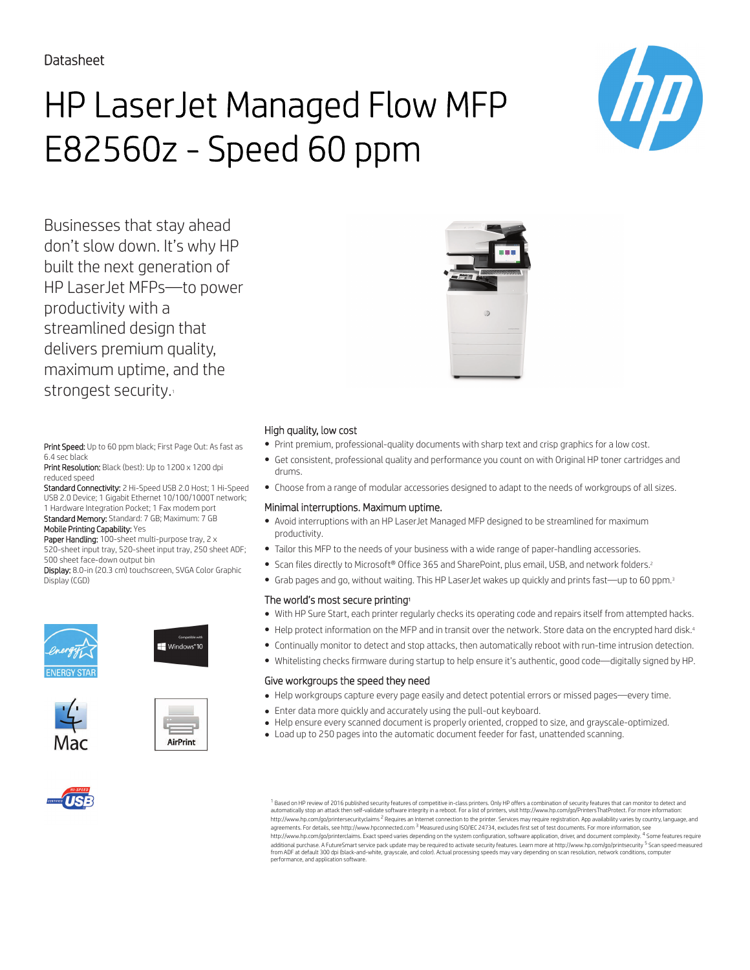# HP LaserJet Managed Flow MFP E82560z - Speed 60 ppm



Businesses that stay ahead don't slow down. It's why HP built the next generation of HP LaserJet MFPs—to power productivity with a streamlined design that delivers premium quality, maximum uptime, and the strongest security.

Print Speed: Up to 60 ppm black; First Page Out: As fast as 6.4 sec black

Print Resolution: Black (best): Up to 1200 x 1200 dpi reduced speed

Standard Connectivity: 2 Hi-Speed USB 2.0 Host; 1 Hi-Speed USB 2.0 Device; 1 Gigabit Ethernet 10/100/1000T network; 1 Hardware Integration Pocket; 1 Fax modem port Standard Memory: Standard: 7 GB; Maximum: 7 GB

Mobile Printing Capability: Yes

Paper Handling: 100-sheet multi-purpose tray, 2 x 520-sheet input tray, 520-sheet input tray, 250 sheet ADF; 500 sheet face-down output bin

Display: 8.0-in (20.3 cm) touchscreen, SVGA Color Graphic Display (CGD)















 $^{\rm 1}$  Based on HP review of 2016 published security features of competitive in-class printers. Only HP offers a combination of security features that can monitor to detect and automatically stop an attack then self-validate software integrity in a reboot. For a list of printers, visit http://www.hp.com/go/PrintersThatProtect. For more information:<br>http://www.hp.com/go/printersecurityclaims <sup>2</sup> R agreements. For details, see http://www.hpconnected.com <sup>3</sup> Measured using ISO/IEC 24734, excludes first set of test documents. For more information, see http://www.hp.com/go/printerclaims. Exact speed varies depending on the system configuration, software application, driver, and document complexity. <sup>4</sup> Some features require<br>additional purchase. A FutureSmart service pack from ADF at default 300 dpi (black-and-white, grayscale, and color). Actual processing speeds may vary depending on scan resolution, network conditions, computer performance, and application software.



## High quality, low cost

- Print premium, professional-quality documents with sharp text and crisp graphics for a low cost.
- Get consistent, professional quality and performance you count on with Original HP toner cartridges and drums.
- Choose from a range of modular accessories designed to adapt to the needs of workgroups of all sizes.

#### Minimal interruptions. Maximum uptime.

- Avoid interruptions with an HP LaserJet Managed MFP designed to be streamlined for maximum productivity.
- Tailor this MFP to the needs of your business with a wide range of paper-handling accessories.
- Scan files directly to Microsoft® Office 365 and SharePoint, plus email, USB, and network folders.<sup>2</sup>
- Grab pages and go, without waiting. This HP LaserJet wakes up quickly and prints fast—up to 60 ppm.<sup>3</sup>

## The world's most secure printing<sup>1</sup>

- With HP Sure Start, each printer regularly checks its operating code and repairs itself from attempted hacks.
- Help protect information on the MFP and in transit over the network. Store data on the encrypted hard disk.<sup>4</sup>
- Continually monitor to detect and stop attacks, then automatically reboot with run-time intrusion detection.
- Whitelisting checks firmware during startup to help ensure it's authentic, good code—digitally signed by HP.

#### Give workgroups the speed they need

- Help workgroups capture every page easily and detect potential errors or missed pages—every time.
- Enter data more quickly and accurately using the pull-out keyboard.
- Help ensure every scanned document is properly oriented, cropped to size, and grayscale-optimized.
- Load up to 250 pages into the automatic document feeder for fast, unattended scanning.